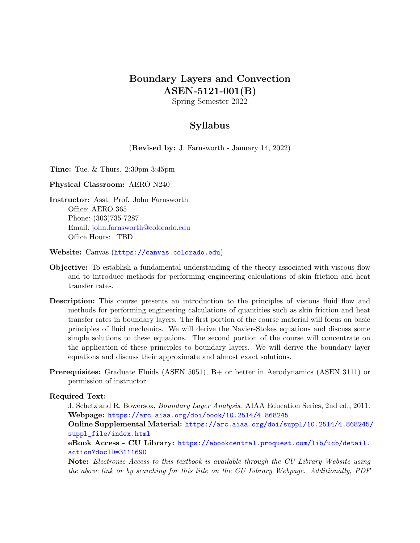## Boundary Layers and Convection ASEN-5121-001(B)

Spring Semester 2022

## Syllabus

(Revised by: J. Farnsworth - January 14, 2022)

Time: Tue. & Thurs. 2:30pm-3:45pm

Physical Classroom: AERO N240

Instructor: Asst. Prof. John Farnsworth Office: AERO 365 Phone: (303)735-7287 Email: [john.farnsworth@colorado.edu](mailto:john.farnsworth@colorado.edu) Office Hours: TBD

Website: Canvas (<https://canvas.colorado.edu>)

- Objective: To establish a fundamental understanding of the theory associated with viscous flow and to introduce methods for performing engineering calculations of skin friction and heat transfer rates.
- Description: This course presents an introduction to the principles of viscous fluid flow and methods for performing engineering calculations of quantities such as skin friction and heat transfer rates in boundary layers. The first portion of the course material will focus on basic principles of fluid mechanics. We will derive the Navier-Stokes equations and discuss some simple solutions to these equations. The second portion of the course will concentrate on the application of these principles to boundary layers. We will derive the boundary layer equations and discuss their approximate and almost exact solutions.
- Prerequisites: Graduate Fluids (ASEN 5051), B+ or better in Aerodynamics (ASEN 3111) or permission of instructor.

Required Text:

J. Schetz and R. Bowersox, Boundary Layer Analysis. AIAA Education Series, 2nd ed., 2011. Webpage: <https://arc.aiaa.org/doi/book/10.2514/4.868245>

Online Supplemental Material: [https://arc.aiaa.org/doi/suppl/10.2514/4.868245/](https://arc.aiaa.org/doi/suppl/10.2514/4.868245/suppl_file/index.html) [suppl\\_file/index.html](https://arc.aiaa.org/doi/suppl/10.2514/4.868245/suppl_file/index.html)

eBook Access - CU Library: [https://ebookcentral.proquest.com/lib/ucb/detail.](https://ebookcentral.proquest.com/lib/ucb/detail.action?docID=3111690) [action?docID=3111690](https://ebookcentral.proquest.com/lib/ucb/detail.action?docID=3111690)

Note: Electronic Access to this textbook is available through the CU Library Website using the above link or by searching for this title on the CU Library Webpage. Additionally, PDF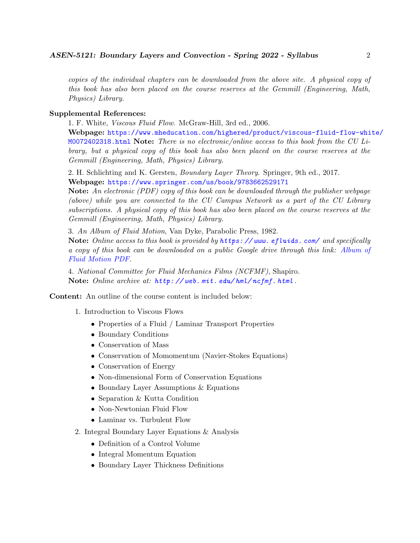copies of the individual chapters can be downloaded from the above site. A physical copy of this book has also been placed on the course reserves at the Gemmill (Engineering, Math, Physics) Library.

#### Supplemental References:

1. F. White, Viscous Fluid Flow. McGraw-Hill, 3rd ed., 2006.

Webpage: [https://www.mheducation.com/highered/product/viscous-fluid-flow-whi](https://www.mheducation.com/highered/product/viscous-fluid-flow-white/M0072402318.html)te/ [M0072402318.html](https://www.mheducation.com/highered/product/viscous-fluid-flow-white/M0072402318.html) Note: There is no electronic/online access to this book from the CU Library, but a physical copy of this book has also been placed on the course reserves at the Gemmill (Engineering, Math, Physics) Library.

2. H. Schlichting and K. Gersten, Boundary Layer Theory. Springer, 9th ed., 2017. Webpage: <https://www.springer.com/us/book/9783662529171>

Note: An electronic (PDF) copy of this book can be downloaded through the publisher webpage (above) while you are connected to the CU Campus Network as a part of the CU Library subscriptions. A physical copy of this book has also been placed on the course reserves at the Gemmill (Engineering, Math, Physics) Library.

3. An Album of Fluid Motion, Van Dyke, Parabolic Press, 1982.

Note: Online access to this book is provided by https://www.efluids.com/and specifically a copy of this book can be downloaded on a public Google drive through this link: [Album of](https://drive.google.com/file/d/0B5UvitjuXx-bVWdoMFQxUXlZek0/view?resourcekey=0-6l7d0NYe7FY8muhx8pCL8A) [Fluid Motion PDF.](https://drive.google.com/file/d/0B5UvitjuXx-bVWdoMFQxUXlZek0/view?resourcekey=0-6l7d0NYe7FY8muhx8pCL8A)

4. National Committee for Fluid Mechanics Films (NCFMF), Shapiro. Note: Online archive at: http://web.mit.edu/hml/ncfmf.html.

Content: An outline of the course content is included below:

- 1. Introduction to Viscous Flows
	- Properties of a Fluid / Laminar Transport Properties
	- Boundary Conditions
	- Conservation of Mass
	- Conservation of Momomentum (Navier-Stokes Equations)
	- Conservation of Energy
	- Non-dimensional Form of Conservation Equations
	- Boundary Layer Assumptions & Equations
	- Separation & Kutta Condition
	- Non-Newtonian Fluid Flow
	- Laminar vs. Turbulent Flow
- 2. Integral Boundary Layer Equations & Analysis
	- Definition of a Control Volume
	- Integral Momentum Equation
	- Boundary Layer Thickness Definitions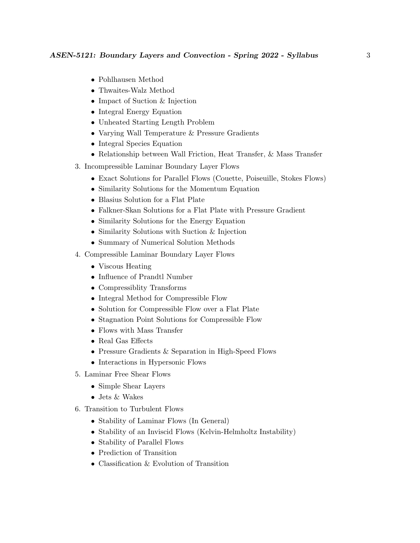- Pohlhausen Method
- Thwaites-Walz Method
- Impact of Suction & Injection
- Integral Energy Equation
- Unheated Starting Length Problem
- Varying Wall Temperature & Pressure Gradients
- Integral Species Equation
- Relationship between Wall Friction, Heat Transfer, & Mass Transfer
- 3. Incompressible Laminar Boundary Layer Flows
	- Exact Solutions for Parallel Flows (Couette, Poiseuille, Stokes Flows)
	- Similarity Solutions for the Momentum Equation
	- Blasius Solution for a Flat Plate
	- Falkner-Skan Solutions for a Flat Plate with Pressure Gradient
	- Similarity Solutions for the Energy Equation
	- Similarity Solutions with Suction & Injection
	- Summary of Numerical Solution Methods
- 4. Compressible Laminar Boundary Layer Flows
	- Viscous Heating
	- Influence of Prandtl Number
	- Compressiblity Transforms
	- Integral Method for Compressible Flow
	- Solution for Compressible Flow over a Flat Plate
	- Stagnation Point Solutions for Compressible Flow
	- Flows with Mass Transfer
	- Real Gas Effects
	- Pressure Gradients & Separation in High-Speed Flows
	- Interactions in Hypersonic Flows
- 5. Laminar Free Shear Flows
	- Simple Shear Layers
	- Jets & Wakes
- 6. Transition to Turbulent Flows
	- Stability of Laminar Flows (In General)
	- Stability of an Inviscid Flows (Kelvin-Helmholtz Instability)
	- Stability of Parallel Flows
	- Prediction of Transition
	- Classification & Evolution of Transition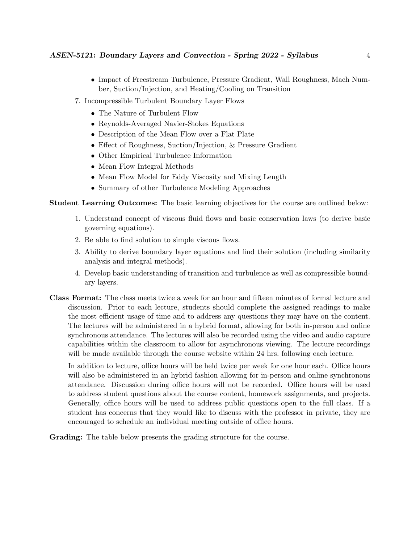- Impact of Freestream Turbulence, Pressure Gradient, Wall Roughness, Mach Number, Suction/Injection, and Heating/Cooling on Transition
- 7. Incompressible Turbulent Boundary Layer Flows
	- The Nature of Turbulent Flow
	- Reynolds-Averaged Navier-Stokes Equations
	- Description of the Mean Flow over a Flat Plate
	- Effect of Roughness, Suction/Injection, & Pressure Gradient
	- Other Empirical Turbulence Information
	- Mean Flow Integral Methods
	- Mean Flow Model for Eddy Viscosity and Mixing Length
	- Summary of other Turbulence Modeling Approaches

Student Learning Outcomes: The basic learning objectives for the course are outlined below:

- 1. Understand concept of viscous fluid flows and basic conservation laws (to derive basic governing equations).
- 2. Be able to find solution to simple viscous flows.
- 3. Ability to derive boundary layer equations and find their solution (including similarity analysis and integral methods).
- 4. Develop basic understanding of transition and turbulence as well as compressible boundary layers.
- Class Format: The class meets twice a week for an hour and fifteen minutes of formal lecture and discussion. Prior to each lecture, students should complete the assigned readings to make the most efficient usage of time and to address any questions they may have on the content. The lectures will be administered in a hybrid format, allowing for both in-person and online synchronous attendance. The lectures will also be recorded using the video and audio capture capabilities within the classroom to allow for asynchronous viewing. The lecture recordings will be made available through the course website within 24 hrs. following each lecture.

In addition to lecture, office hours will be held twice per week for one hour each. Office hours will also be administered in an hybrid fashion allowing for in-person and online synchronous attendance. Discussion during office hours will not be recorded. Office hours will be used to address student questions about the course content, homework assignments, and projects. Generally, office hours will be used to address public questions open to the full class. If a student has concerns that they would like to discuss with the professor in private, they are encouraged to schedule an individual meeting outside of office hours.

Grading: The table below presents the grading structure for the course.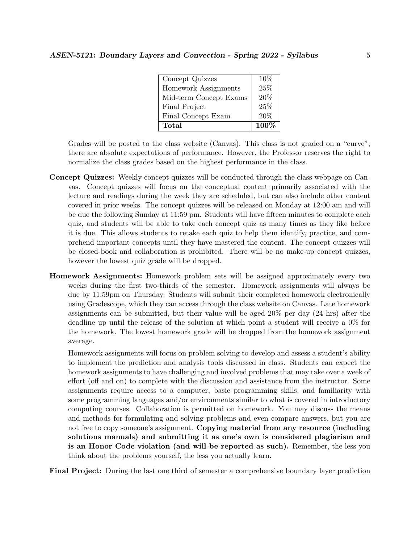| Concept Quizzes        | $10\%$ |
|------------------------|--------|
| Homework Assignments   | 25%    |
| Mid-term Concept Exams | 20%    |
| Final Project          | 25%    |
| Final Concept Exam     | 20%    |
| Total                  | 100%   |

Grades will be posted to the class website (Canvas). This class is not graded on a "curve"; there are absolute expectations of performance. However, the Professor reserves the right to normalize the class grades based on the highest performance in the class.

- Concept Quizzes: Weekly concept quizzes will be conducted through the class webpage on Canvas. Concept quizzes will focus on the conceptual content primarily associated with the lecture and readings during the week they are scheduled, but can also include other content covered in prior weeks. The concept quizzes will be released on Monday at 12:00 am and will be due the following Sunday at 11:59 pm. Students will have fifteen minutes to complete each quiz, and students will be able to take each concept quiz as many times as they like before it is due. This allows students to retake each quiz to help them identify, practice, and comprehend important concepts until they have mastered the content. The concept quizzes will be closed-book and collaboration is prohibited. There will be no make-up concept quizzes, however the lowest quiz grade will be dropped.
- Homework Assignments: Homework problem sets will be assigned approximately every two weeks during the first two-thirds of the semester. Homework assignments will always be due by 11:59pm on Thursday. Students will submit their completed homework electronically using Gradescope, which they can access through the class website on Canvas. Late homework assignments can be submitted, but their value will be aged 20% per day (24 hrs) after the deadline up until the release of the solution at which point a student will receive a 0% for the homework. The lowest homework grade will be dropped from the homework assignment average.

Homework assignments will focus on problem solving to develop and assess a student's ability to implement the prediction and analysis tools discussed in class. Students can expect the homework assignments to have challenging and involved problems that may take over a week of effort (off and on) to complete with the discussion and assistance from the instructor. Some assignments require access to a computer, basic programming skills, and familiarity with some programming languages and/or environments similar to what is covered in introductory computing courses. Collaboration is permitted on homework. You may discuss the means and methods for formulating and solving problems and even compare answers, but you are not free to copy someone's assignment. Copying material from any resource (including solutions manuals) and submitting it as one's own is considered plagiarism and is an Honor Code violation (and will be reported as such). Remember, the less you think about the problems yourself, the less you actually learn.

Final Project: During the last one third of semester a comprehensive boundary layer prediction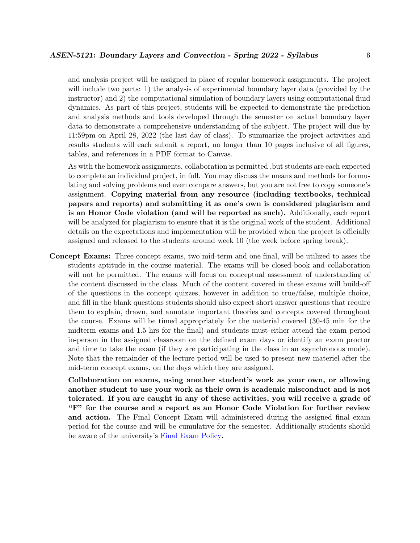and analysis project will be assigned in place of regular homework assignments. The project will include two parts: 1) the analysis of experimental boundary layer data (provided by the instructor) and 2) the computational simulation of boundary layers using computational fluid dynamics. As part of this project, students will be expected to demonstrate the prediction and analysis methods and tools developed through the semester on actual boundary layer data to demonstrate a comprehensive understanding of the subject. The project will due by 11:59pm on April 28, 2022 (the last day of class). To summarize the project activities and results students will each submit a report, no longer than 10 pages inclusive of all figures, tables, and references in a PDF format to Canvas.

As with the homework assignments, collaboration is permitted ,but students are each expected to complete an individual project, in full. You may discuss the means and methods for formulating and solving problems and even compare answers, but you are not free to copy someone's assignment. Copying material from any resource (including textbooks, technical papers and reports) and submitting it as one's own is considered plagiarism and is an Honor Code violation (and will be reported as such). Additionally, each report will be analyzed for plagiarism to ensure that it is the original work of the student. Additional details on the expectations and implementation will be provided when the project is officially assigned and released to the students around week 10 (the week before spring break).

Concept Exams: Three concept exams, two mid-term and one final, will be utilized to asses the students aptitude in the course material. The exams will be closed-book and collaboration will not be permitted. The exams will focus on conceptual assessment of understanding of the content discussed in the class. Much of the content covered in these exams will build-off of the questions in the concept quizzes, however in addition to true/false, multiple choice, and fill in the blank questions students should also expect short answer questions that require them to explain, drawn, and annotate important theories and concepts covered throughout the course. Exams will be timed appropriately for the material covered (30-45 min for the midterm exams and 1.5 hrs for the final) and students must either attend the exam period in-person in the assigned classroom on the defined exam days or identify an exam proctor and time to take the exam (if they are participating in the class in an asynchronous mode). Note that the remainder of the lecture period will be used to present new materiel after the mid-term concept exams, on the days which they are assigned.

Collaboration on exams, using another student's work as your own, or allowing another student to use your work as their own is academic misconduct and is not tolerated. If you are caught in any of these activities, you will receive a grade of "F" for the course and a report as an Honor Code Violation for further review and action. The Final Concept Exam will administered during the assigned final exam period for the course and will be cumulative for the semester. Additionally students should be aware of the university's [Final Exam Policy.](http://www.colorado.edu/policies/final-examination-policy)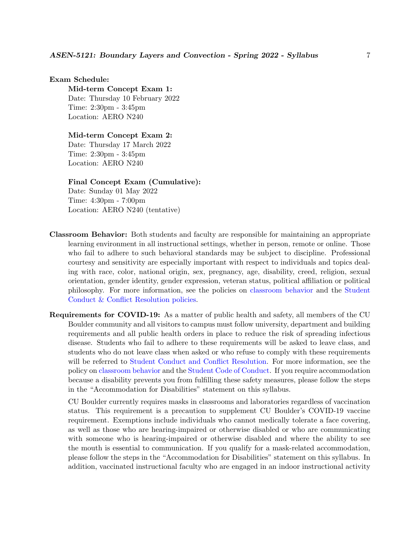#### Exam Schedule:

Mid-term Concept Exam 1: Date: Thursday 10 February 2022 Time: 2:30pm - 3:45pm Location: AERO N240

#### Mid-term Concept Exam 2:

Date: Thursday 17 March 2022 Time: 2:30pm - 3:45pm Location: AERO N240

### Final Concept Exam (Cumulative):

Date: Sunday 01 May 2022 Time: 4:30pm - 7:00pm Location: AERO N240 (tentative)

- Classroom Behavior: Both students and faculty are responsible for maintaining an appropriate learning environment in all instructional settings, whether in person, remote or online. Those who fail to adhere to such behavioral standards may be subject to discipline. Professional courtesy and sensitivity are especially important with respect to individuals and topics dealing with race, color, national origin, sex, pregnancy, age, disability, creed, religion, sexual orientation, gender identity, gender expression, veteran status, political affiliation or political philosophy. For more information, see the policies on [classroom behavior](http://www.colorado.edu/policies/student-classroom-and-course-related-behavior) and the [Student](https://www.colorado.edu/sccr/student-conduct) [Conduct & Conflict Resolution policies.](https://www.colorado.edu/sccr/student-conduct)
- Requirements for COVID-19: As a matter of public health and safety, all members of the CU Boulder community and all visitors to campus must follow university, department and building requirements and all public health orders in place to reduce the risk of spreading infectious disease. Students who fail to adhere to these requirements will be asked to leave class, and students who do not leave class when asked or who refuse to comply with these requirements will be referred to [Student Conduct and Conflict Resolution.](https://www.colorado.edu/sccr/) For more information, see the policy on [classroom behavior](http://www.colorado.edu/policies/student-classroom-and-course-related-behavior) and the [Student Code of Conduct.](http://www.colorado.edu/osccr/) If you require accommodation because a disability prevents you from fulfilling these safety measures, please follow the steps in the "Accommodation for Disabilities" statement on this syllabus.

CU Boulder currently requires masks in classrooms and laboratories regardless of vaccination status. This requirement is a precaution to supplement CU Boulder's COVID-19 vaccine requirement. Exemptions include individuals who cannot medically tolerate a face covering, as well as those who are hearing-impaired or otherwise disabled or who are communicating with someone who is hearing-impaired or otherwise disabled and where the ability to see the mouth is essential to communication. If you qualify for a mask-related accommodation, please follow the steps in the "Accommodation for Disabilities" statement on this syllabus. In addition, vaccinated instructional faculty who are engaged in an indoor instructional activity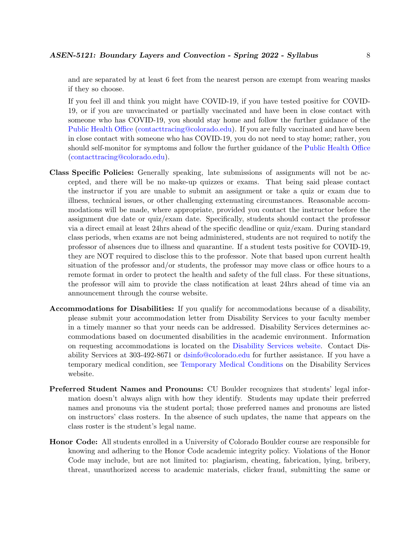and are separated by at least 6 feet from the nearest person are exempt from wearing masks if they so choose.

If you feel ill and think you might have COVID-19, if you have tested positive for COVID-19, or if you are unvaccinated or partially vaccinated and have been in close contact with someone who has COVID-19, you should stay home and follow the further guidance of the [Public Health Office](https://www.colorado.edu/health/public-health/quarantine-and-isolation) [\(contacttracing@colorado.edu\)](mailto:contacttracing@colorado.edu). If you are fully vaccinated and have been in close contact with someone who has COVID-19, you do not need to stay home; rather, you should self-monitor for symptoms and follow the further guidance of the [Public Health Office](https://www.colorado.edu/health/public-health/quarantine-and-isolation) [\(contacttracing@colorado.edu\)](mailto:contacttracing@colorado.edu).

- Class Specific Policies: Generally speaking, late submissions of assignments will not be accepted, and there will be no make-up quizzes or exams. That being said please contact the instructor if you are unable to submit an assignment or take a quiz or exam due to illness, technical issues, or other challenging extenuating circumstances. Reasonable accommodations will be made, where appropriate, provided you contact the instructor before the assignment due date or quiz/exam date. Specifically, students should contact the professor via a direct email at least 24hrs ahead of the specific deadline or quiz/exam. During standard class periods, when exams are not being administered, students are not required to notify the professor of absences due to illness and quarantine. If a student tests positive for COVID-19, they are NOT required to disclose this to the professor. Note that based upon current health situation of the professor and/or students, the professor may move class or office hours to a remote format in order to protect the health and safety of the full class. For these situations, the professor will aim to provide the class notification at least 24hrs ahead of time via an announcement through the course website.
- Accommodations for Disabilities: If you qualify for accommodations because of a disability, please submit your accommodation letter from Disability Services to your faculty member in a timely manner so that your needs can be addressed. Disability Services determines accommodations based on documented disabilities in the academic environment. Information on requesting accommodations is located on the [Disability Services website.](https://www.colorado.edu/disabilityservices/) Contact Disability Services at 303-492-8671 or [dsinfo@colorado.edu](mailto:dsinfo@colorado.edu) for further assistance. If you have a temporary medical condition, see [Temporary Medical Conditions](http://www.colorado.edu/disabilityservices/students/temporary-medical-conditions) on the Disability Services website.
- Preferred Student Names and Pronouns: CU Boulder recognizes that students' legal information doesn't always align with how they identify. Students may update their preferred names and pronouns via the student portal; those preferred names and pronouns are listed on instructors' class rosters. In the absence of such updates, the name that appears on the class roster is the student's legal name.
- Honor Code: All students enrolled in a University of Colorado Boulder course are responsible for knowing and adhering to the Honor Code academic integrity policy. Violations of the Honor Code may include, but are not limited to: plagiarism, cheating, fabrication, lying, bribery, threat, unauthorized access to academic materials, clicker fraud, submitting the same or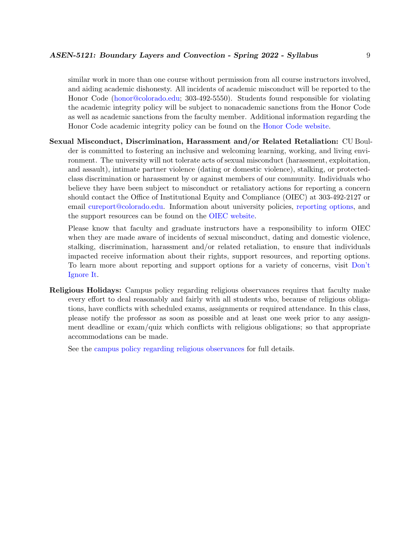similar work in more than one course without permission from all course instructors involved, and aiding academic dishonesty. All incidents of academic misconduct will be reported to the Honor Code [\(honor@colorado.edu;](mailto:honor@colorado.edu) 303-492-5550). Students found responsible for violating the academic integrity policy will be subject to nonacademic sanctions from the Honor Code as well as academic sanctions from the faculty member. Additional information regarding the Honor Code academic integrity policy can be found on the [Honor Code website.](https://www.colorado.edu/osccr/honor-code)

Sexual Misconduct, Discrimination, Harassment and/or Related Retaliation: CU Boulder is committed to fostering an inclusive and welcoming learning, working, and living environment. The university will not tolerate acts of sexual misconduct (harassment, exploitation, and assault), intimate partner violence (dating or domestic violence), stalking, or protectedclass discrimination or harassment by or against members of our community. Individuals who believe they have been subject to misconduct or retaliatory actions for reporting a concern should contact the Office of Institutional Equity and Compliance (OIEC) at 303-492-2127 or email [cureport@colorado.edu.](mailto:cureport@colorado.edu) Information about university policies, [reporting options,](https://www.colorado.edu/oiec/reporting-resolutions/making-report) and the support resources can be found on the [OIEC website.](http://www.colorado.edu/institutionalequity/)

Please know that faculty and graduate instructors have a responsibility to inform OIEC when they are made aware of incidents of sexual misconduct, dating and domestic violence, stalking, discrimination, harassment and/or related retaliation, to ensure that individuals impacted receive information about their rights, support resources, and reporting options. To learn more about reporting and support options for a variety of concerns, visit [Don't](https://www.colorado.edu/dontignoreit/) [Ignore It.](https://www.colorado.edu/dontignoreit/)

Religious Holidays: Campus policy regarding religious observances requires that faculty make every effort to deal reasonably and fairly with all students who, because of religious obligations, have conflicts with scheduled exams, assignments or required attendance. In this class, please notify the professor as soon as possible and at least one week prior to any assignment deadline or exam/quiz which conflicts with religious obligations; so that appropriate accommodations can be made.

See the [campus policy regarding religious observances](http://www.colorado.edu/policies/observance-religious-holidays-and-absences-classes-andor-exams) for full details.